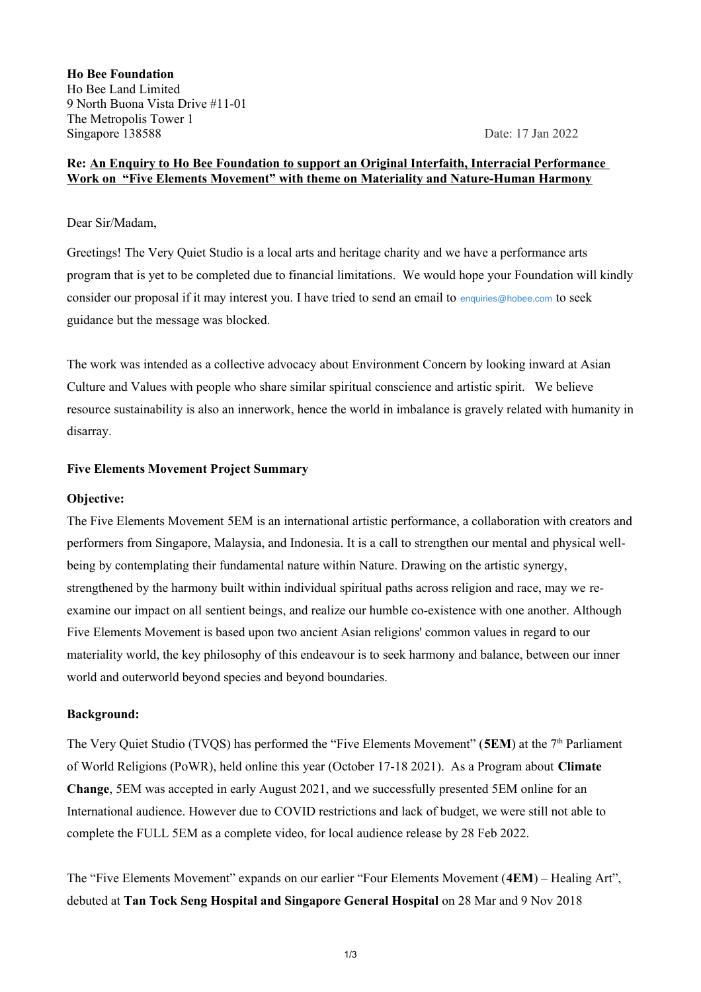**Ho Bee Foundation** Ho Bee Land Limited 9 North Buona Vista Drive #11-01 The Metropolis Tower 1 Singapore 138588 Date: 17 Jan 2022

## **Re: An Enquiry to Ho Bee Foundation to support an Original Interfaith, Interracial Performance Work on "Five Elements Movement" with theme on Materiality and Nature-Human Harmony**

### Dear Sir/Madam,

Greetings! The Very Quiet Studio is a local arts and heritage charity and we have a performance arts program that is yet to be completed due to financial limitations. We would hope your Foundation will kindly consider our proposal if it may interest you. I have tried to send an email to [enquiries@hobee.com](mailto:enquiries@hobee.com) to seek guidance but the message was blocked.

The work was intended as a collective advocacy about Environment Concern by looking inward at Asian Culture and Values with people who share similar spiritual conscience and artistic spirit. We believe resource sustainability is also an innerwork, hence the world in imbalance is gravely related with humanity in disarray.

### **Five Elements Movement Project Summary**

### **Objective:**

The Five Elements Movement 5EM is an international artistic performance, a collaboration with creators and performers from Singapore, Malaysia, and Indonesia. It is a call to strengthen our mental and physical wellbeing by contemplating their fundamental nature within Nature. Drawing on the artistic synergy, strengthened by the harmony built within individual spiritual paths across religion and race, may we reexamine our impact on all sentient beings, and realize our humble co-existence with one another. Although Five Elements Movement is based upon two ancient Asian religions' common values in regard to our materiality world, the key philosophy of this endeavour is to seek harmony and balance, between our inner world and outerworld beyond species and beyond boundaries.

### **Background:**

The Very Quiet Studio (TVOS) has performed the "Five Elements Movement" (**5EM**) at the 7<sup>th</sup> Parliament of World Religions (PoWR), held online this year (October 17-18 2021). As a Program about **Climate Change**, 5EM was accepted in early August 2021, and we successfully presented 5EM online for an International audience. However due to COVID restrictions and lack of budget, we were still not able to complete the FULL 5EM as a complete video, for local audience release by 28 Feb 2022.

The "Five Elements Movement" expands on our earlier "Four Elements Movement (**4EM**) – Healing Art", debuted at **Tan Tock Seng Hospital and Singapore General Hospital** on 28 Mar and 9 Nov 2018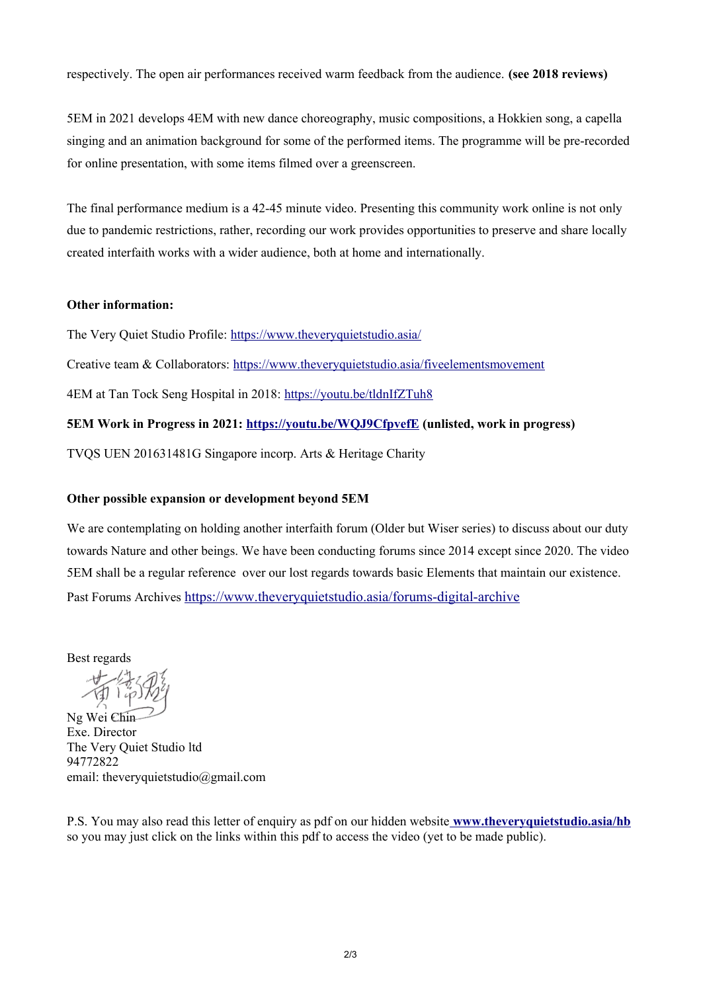respectively. The open air performances received warm feedback from the audience. **(see 2018 reviews)**

5EM in 2021 develops 4EM with new dance choreography, music compositions, a Hokkien song, a capella singing and an animation background for some of the performed items. The programme will be pre-recorded for online presentation, with some items filmed over a greenscreen.

The final performance medium is a 42-45 minute video. Presenting this community work online is not only due to pandemic restrictions, rather, recording our work provides opportunities to preserve and share locally created interfaith works with a wider audience, both at home and internationally.

### **Other information:**

The Very Quiet Studio Profile:<https://www.theveryquietstudio.asia/>

Creative team & Collaborators:<https://www.theveryquietstudio.asia/fiveelementsmovement>

4EM at Tan Tock Seng Hospital in 2018:<https://youtu.be/tldnIfZTuh8>

# **5EM Work in Progress in 2021:<https://youtu.be/WQJ9CfpvefE>(unlisted, work in progress)**

TVQS UEN 201631481G Singapore incorp. Arts & Heritage Charity

# **Other possible expansion or development beyond 5EM**

We are contemplating on holding another interfaith forum (Older but Wiser series) to discuss about our duty towards Nature and other beings. We have been conducting forums since 2014 except since 2020. The video 5EM shall be a regular reference over our lost regards towards basic Elements that maintain our existence. Past Forums Archives <https://www.theveryquietstudio.asia/forums-digital-archive>

Best regards

Ng Wei Chin Exe. Director The Very Quiet Studio ltd 94772822 email: theveryquietstudio@gmail.com

P.S. You may also read this letter of enquiry as pdf on our hidden website **[www.theveryquietstudio.asia/hb](http://www.theveryquietstudio.asia/hb)** so you may just click on the links within this pdf to access the video (yet to be made public).